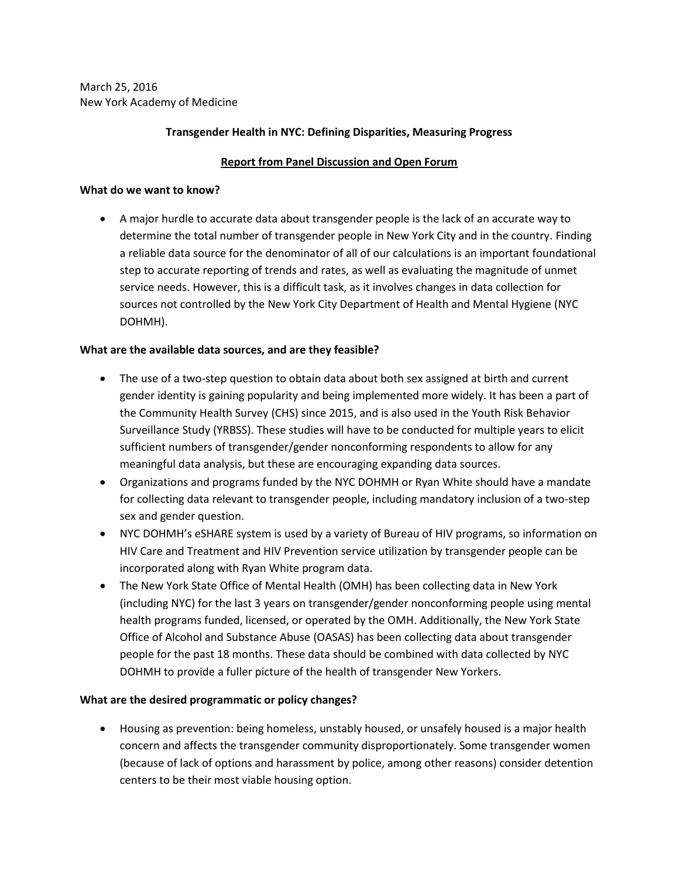March 25, 2016 New York Academy of Medicine

### **Transgender Health in NYC: Defining Disparities, Measuring Progress**

# **Report from Panel Discussion and Open Forum**

#### **What do we want to know?**

 A major hurdle to accurate data about transgender people is the lack of an accurate way to determine the total number of transgender people in New York City and in the country. Finding a reliable data source for the denominator of all of our calculations is an important foundational step to accurate reporting of trends and rates, as well as evaluating the magnitude of unmet service needs. However, this is a difficult task, as it involves changes in data collection for sources not controlled by the New York City Department of Health and Mental Hygiene (NYC DOHMH).

### **What are the available data sources, and are they feasible?**

- The use of a two-step question to obtain data about both sex assigned at birth and current gender identity is gaining popularity and being implemented more widely. It has been a part of the Community Health Survey (CHS) since 2015, and is also used in the Youth Risk Behavior Surveillance Study (YRBSS). These studies will have to be conducted for multiple years to elicit sufficient numbers of transgender/gender nonconforming respondents to allow for any meaningful data analysis, but these are encouraging expanding data sources.
- Organizations and programs funded by the NYC DOHMH or Ryan White should have a mandate for collecting data relevant to transgender people, including mandatory inclusion of a two-step sex and gender question.
- NYC DOHMH's eSHARE system is used by a variety of Bureau of HIV programs, so information on HIV Care and Treatment and HIV Prevention service utilization by transgender people can be incorporated along with Ryan White program data.
- The New York State Office of Mental Health (OMH) has been collecting data in New York (including NYC) for the last 3 years on transgender/gender nonconforming people using mental health programs funded, licensed, or operated by the OMH. Additionally, the New York State Office of Alcohol and Substance Abuse (OASAS) has been collecting data about transgender people for the past 18 months. These data should be combined with data collected by NYC DOHMH to provide a fuller picture of the health of transgender New Yorkers.

### **What are the desired programmatic or policy changes?**

 Housing as prevention: being homeless, unstably housed, or unsafely housed is a major health concern and affects the transgender community disproportionately. Some transgender women (because of lack of options and harassment by police, among other reasons) consider detention centers to be their most viable housing option.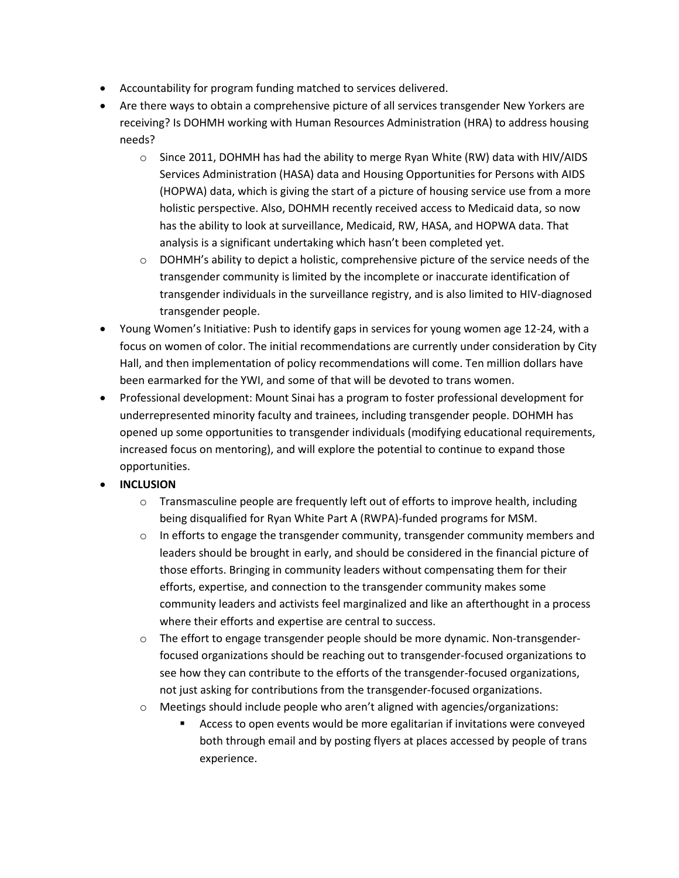- Accountability for program funding matched to services delivered.
- Are there ways to obtain a comprehensive picture of all services transgender New Yorkers are receiving? Is DOHMH working with Human Resources Administration (HRA) to address housing needs?
	- $\circ$  Since 2011, DOHMH has had the ability to merge Ryan White (RW) data with HIV/AIDS Services Administration (HASA) data and Housing Opportunities for Persons with AIDS (HOPWA) data, which is giving the start of a picture of housing service use from a more holistic perspective. Also, DOHMH recently received access to Medicaid data, so now has the ability to look at surveillance, Medicaid, RW, HASA, and HOPWA data. That analysis is a significant undertaking which hasn't been completed yet.
	- $\circ$  DOHMH's ability to depict a holistic, comprehensive picture of the service needs of the transgender community is limited by the incomplete or inaccurate identification of transgender individuals in the surveillance registry, and is also limited to HIV-diagnosed transgender people.
- Young Women's Initiative: Push to identify gaps in services for young women age 12-24, with a focus on women of color. The initial recommendations are currently under consideration by City Hall, and then implementation of policy recommendations will come. Ten million dollars have been earmarked for the YWI, and some of that will be devoted to trans women.
- Professional development: Mount Sinai has a program to foster professional development for underrepresented minority faculty and trainees, including transgender people. DOHMH has opened up some opportunities to transgender individuals (modifying educational requirements, increased focus on mentoring), and will explore the potential to continue to expand those opportunities.
- **INCLUSION**
	- $\circ$  Transmasculine people are frequently left out of efforts to improve health, including being disqualified for Ryan White Part A (RWPA)-funded programs for MSM.
	- $\circ$  In efforts to engage the transgender community, transgender community members and leaders should be brought in early, and should be considered in the financial picture of those efforts. Bringing in community leaders without compensating them for their efforts, expertise, and connection to the transgender community makes some community leaders and activists feel marginalized and like an afterthought in a process where their efforts and expertise are central to success.
	- o The effort to engage transgender people should be more dynamic. Non-transgenderfocused organizations should be reaching out to transgender-focused organizations to see how they can contribute to the efforts of the transgender-focused organizations, not just asking for contributions from the transgender-focused organizations.
	- o Meetings should include people who aren't aligned with agencies/organizations:
		- Access to open events would be more egalitarian if invitations were conveyed both through email and by posting flyers at places accessed by people of trans experience.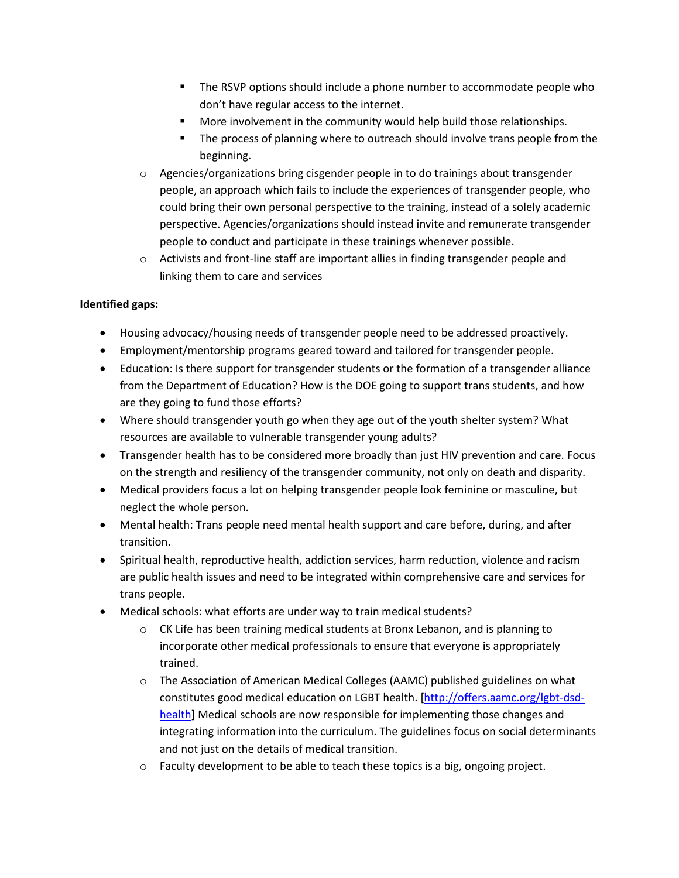- The RSVP options should include a phone number to accommodate people who don't have regular access to the internet.
- More involvement in the community would help build those relationships.
- **The process of planning where to outreach should involve trans people from the** beginning.
- $\circ$  Agencies/organizations bring cisgender people in to do trainings about transgender people, an approach which fails to include the experiences of transgender people, who could bring their own personal perspective to the training, instead of a solely academic perspective. Agencies/organizations should instead invite and remunerate transgender people to conduct and participate in these trainings whenever possible.
- $\circ$  Activists and front-line staff are important allies in finding transgender people and linking them to care and services

# **Identified gaps:**

- Housing advocacy/housing needs of transgender people need to be addressed proactively.
- Employment/mentorship programs geared toward and tailored for transgender people.
- Education: Is there support for transgender students or the formation of a transgender alliance from the Department of Education? How is the DOE going to support trans students, and how are they going to fund those efforts?
- Where should transgender youth go when they age out of the youth shelter system? What resources are available to vulnerable transgender young adults?
- Transgender health has to be considered more broadly than just HIV prevention and care. Focus on the strength and resiliency of the transgender community, not only on death and disparity.
- Medical providers focus a lot on helping transgender people look feminine or masculine, but neglect the whole person.
- Mental health: Trans people need mental health support and care before, during, and after transition.
- Spiritual health, reproductive health, addiction services, harm reduction, violence and racism are public health issues and need to be integrated within comprehensive care and services for trans people.
- Medical schools: what efforts are under way to train medical students?
	- $\circ$  CK Life has been training medical students at Bronx Lebanon, and is planning to incorporate other medical professionals to ensure that everyone is appropriately trained.
	- o The Association of American Medical Colleges (AAMC) published guidelines on what constitutes good medical education on LGBT health. [\[http://offers.aamc.org/lgbt-dsd](http://offers.aamc.org/lgbt-dsd-health)[health\]](http://offers.aamc.org/lgbt-dsd-health) Medical schools are now responsible for implementing those changes and integrating information into the curriculum. The guidelines focus on social determinants and not just on the details of medical transition.
	- $\circ$  Faculty development to be able to teach these topics is a big, ongoing project.